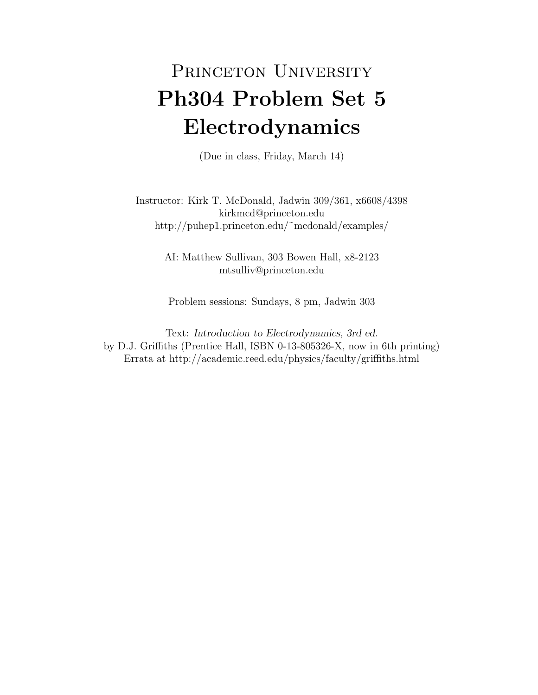## PRINCETON UNIVERSITY Ph304 Problem Set 5 Electrodynamics

(Due in class, Friday, March 14)

Instructor: Kirk T. McDonald, Jadwin 309/361, x6608/4398 kirkmcd@princeton.edu http://puhep1.princeton.edu/˜mcdonald/examples/

> AI: Matthew Sullivan, 303 Bowen Hall, x8-2123 mtsulliv@princeton.edu

Problem sessions: Sundays, 8 pm, Jadwin 303

Text: Introduction to Electrodynamics, 3rd ed. by D.J. Griffiths (Prentice Hall, ISBN 0-13-805326-X, now in 6th printing) Errata at http://academic.reed.edu/physics/faculty/griffiths.html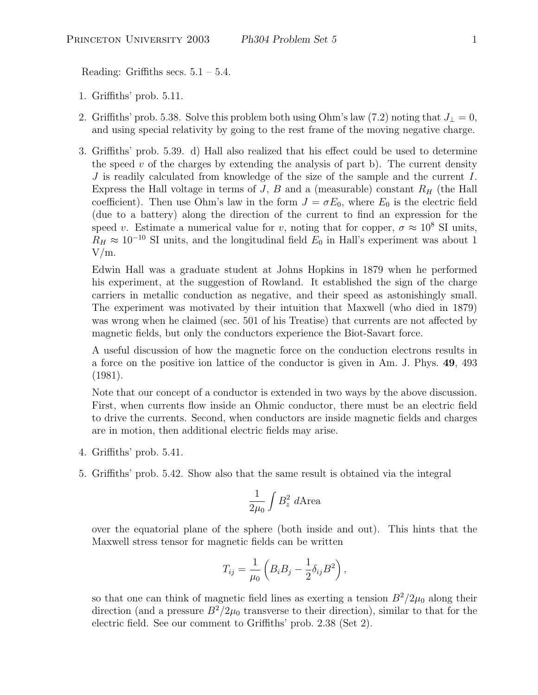Reading: Griffiths secs.  $5.1 - 5.4$ .

- 1. Griffiths' prob. 5.11.
- 2. Griffiths' prob. 5.38. Solve this problem both using Ohm's law (7.2) noting that  $J_{\perp} = 0$ , and using special relativity by going to the rest frame of the moving negative charge.
- 3. Griffiths' prob. 5.39. d) Hall also realized that his effect could be used to determine the speed  $v$  of the charges by extending the analysis of part b). The current density J is readily calculated from knowledge of the size of the sample and the current I. Express the Hall voltage in terms of  $J, B$  and a (measurable) constant  $R_H$  (the Hall coefficient). Then use Ohm's law in the form  $J = \sigma E_0$ , where  $E_0$  is the electric field (due to a battery) along the direction of the current to find an expression for the speed v. Estimate a numerical value for v, noting that for copper,  $\sigma \approx 10^8$  SI units,  $R_H \approx 10^{-10}$  SI units, and the longitudinal field  $E_0$  in Hall's experiment was about 1 V/m.

Edwin Hall was a graduate student at Johns Hopkins in 1879 when he performed his experiment, at the suggestion of Rowland. It established the sign of the charge carriers in metallic conduction as negative, and their speed as astonishingly small. The experiment was motivated by their intuition that Maxwell (who died in 1879) was wrong when he claimed (sec. 501 of his Treatise) that currents are not affected by magnetic fields, but only the conductors experience the Biot-Savart force.

A useful discussion of how the magnetic force on the conduction electrons results in a force on the positive ion lattice of the conductor is given in Am. J. Phys. 49, 493 (1981).

Note that our concept of a conductor is extended in two ways by the above discussion. First, when currents flow inside an Ohmic conductor, there must be an electric field to drive the currents. Second, when conductors are inside magnetic fields and charges are in motion, then additional electric fields may arise.

- 4. Griffiths' prob. 5.41.
- 5. Griffiths' prob. 5.42. Show also that the same result is obtained via the integral

$$
\frac{1}{2\mu_0} \int B_z^2 \; d\text{Area}
$$

over the equatorial plane of the sphere (both inside and out). This hints that the Maxwell stress tensor for magnetic fields can be written

$$
T_{ij} = \frac{1}{\mu_0} \left( B_i B_j - \frac{1}{2} \delta_{ij} B^2 \right),
$$

so that one can think of magnetic field lines as exerting a tension  $B^2/2\mu_0$  along their direction (and a pressure  $B^2/2\mu_0$  transverse to their direction), similar to that for the electric field. See our comment to Griffiths' prob. 2.38 (Set 2).